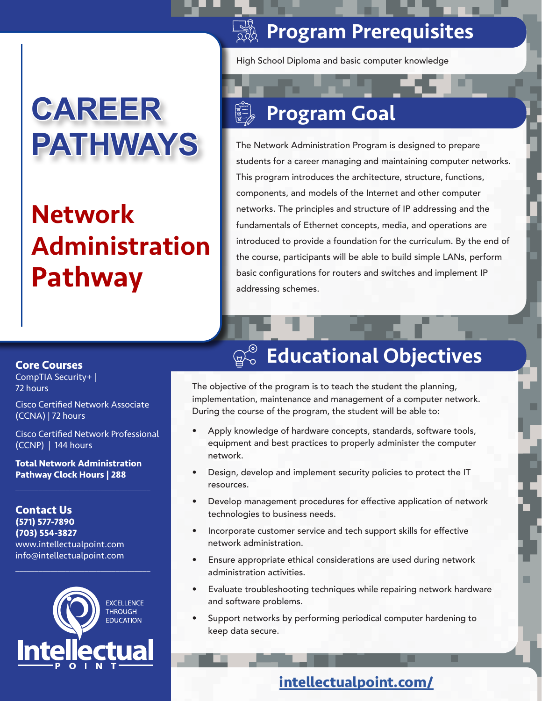# **CAREER PATHWAYS**

# Network Administration Pathway

## **SASE Program Prerequisites**

High School Diploma and basic computer knowledge

## Program Goal

The Network Administration Program is designed to prepare students for a career managing and maintaining computer networks. This program introduces the architecture, structure, functions, components, and models of the Internet and other computer networks. The principles and structure of IP addressing and the fundamentals of Ethernet concepts, media, and operations are introduced to provide a foundation for the curriculum. By the end of the course, participants will be able to build simple LANs, perform basic configurations for routers and switches and implement IP addressing schemes.

#### **Core Courses**

CompTIA Security+ | 72 hours

Cisco Certified Network Associate (CCNA) | 72 hours

Cisco Certified Network Professional (CCNP) | 144 hours

**Total Network Administration Pathway Clock Hours | 288**

 $\overline{\mathcal{L}}$  , and the set of the set of the set of the set of the set of the set of the set of the set of the set of the set of the set of the set of the set of the set of the set of the set of the set of the set of the s

**Contact Us (571) 577-7890 (703) 554-3827** www.intellectualpoint.com info@intellectualpoint.com



 $\overline{\mathcal{L}}$  , and the set of the set of the set of the set of the set of the set of the set of the set of the set of the set of the set of the set of the set of the set of the set of the set of the set of the set of the s

## **Ro Educational Objectives**

The objective of the program is to teach the student the planning, implementation, maintenance and management of a computer network. During the course of the program, the student will be able to:

- Apply knowledge of hardware concepts, standards, software tools, equipment and best practices to properly administer the computer network.
- Design, develop and implement security policies to protect the IT resources.
- Develop management procedures for effective application of network technologies to business needs.
- Incorporate customer service and tech support skills for effective network administration.
- Ensure appropriate ethical considerations are used during network administration activities.
- Evaluate troubleshooting techniques while repairing network hardware and software problems.
- Support networks by performing periodical computer hardening to keep data secure.

### **intellectualpoint.com/**